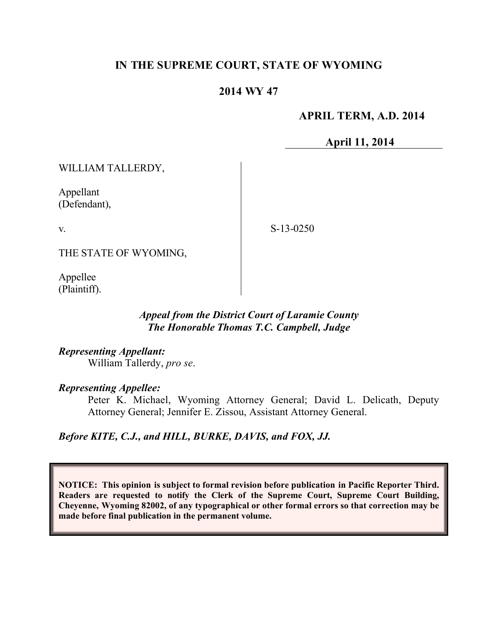# **IN THE SUPREME COURT, STATE OF WYOMING**

# **2014 WY 47**

# **APRIL TERM, A.D. 2014**

**April 11, 2014**

WILLIAM TALLERDY,

Appellant (Defendant),

v.

S-13-0250

THE STATE OF WYOMING,

Appellee (Plaintiff).

# *Appeal from the District Court of Laramie County The Honorable Thomas T.C. Campbell, Judge*

*Representing Appellant:* William Tallerdy, *pro se*.

*Representing Appellee:*

Peter K. Michael, Wyoming Attorney General; David L. Delicath, Deputy Attorney General; Jennifer E. Zissou, Assistant Attorney General.

*Before KITE, C.J., and HILL, BURKE, DAVIS, and FOX, JJ.*

**NOTICE: This opinion is subject to formal revision before publication in Pacific Reporter Third. Readers are requested to notify the Clerk of the Supreme Court, Supreme Court Building, Cheyenne, Wyoming 82002, of any typographical or other formal errors so that correction may be made before final publication in the permanent volume.**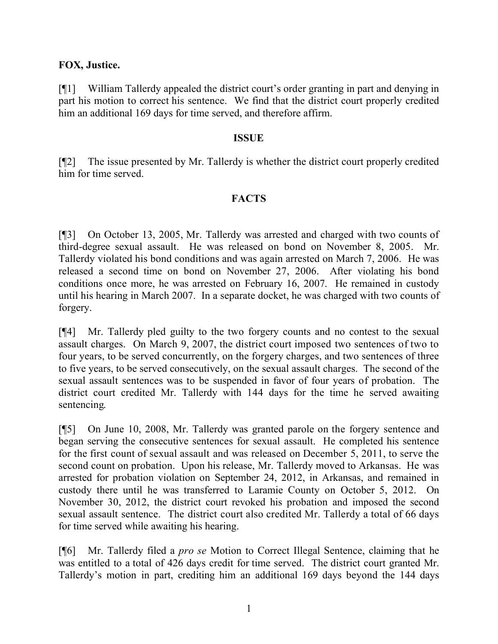# **FOX, Justice.**

[¶1] William Tallerdy appealed the district court's order granting in part and denying in part his motion to correct his sentence. We find that the district court properly credited him an additional 169 days for time served, and therefore affirm.

#### **ISSUE**

[¶2] The issue presented by Mr. Tallerdy is whether the district court properly credited him for time served.

# **FACTS**

[¶3] On October 13, 2005, Mr. Tallerdy was arrested and charged with two counts of third-degree sexual assault. He was released on bond on November 8, 2005. Mr. Tallerdy violated his bond conditions and was again arrested on March 7, 2006. He was released a second time on bond on November 27, 2006. After violating his bond conditions once more, he was arrested on February 16, 2007. He remained in custody until his hearing in March 2007. In a separate docket, he was charged with two counts of forgery.

[¶4] Mr. Tallerdy pled guilty to the two forgery counts and no contest to the sexual assault charges. On March 9, 2007, the district court imposed two sentences of two to four years, to be served concurrently, on the forgery charges, and two sentences of three to five years, to be served consecutively, on the sexual assault charges. The second of the sexual assault sentences was to be suspended in favor of four years of probation. The district court credited Mr. Tallerdy with 144 days for the time he served awaiting sentencing.

[¶5] On June 10, 2008, Mr. Tallerdy was granted parole on the forgery sentence and began serving the consecutive sentences for sexual assault. He completed his sentence for the first count of sexual assault and was released on December 5, 2011, to serve the second count on probation. Upon his release, Mr. Tallerdy moved to Arkansas. He was arrested for probation violation on September 24, 2012, in Arkansas, and remained in custody there until he was transferred to Laramie County on October 5, 2012. On November 30, 2012, the district court revoked his probation and imposed the second sexual assault sentence. The district court also credited Mr. Tallerdy a total of 66 days for time served while awaiting his hearing.

[¶6] Mr. Tallerdy filed a *pro se* Motion to Correct Illegal Sentence, claiming that he was entitled to a total of 426 days credit for time served. The district court granted Mr. Tallerdy's motion in part, crediting him an additional 169 days beyond the 144 days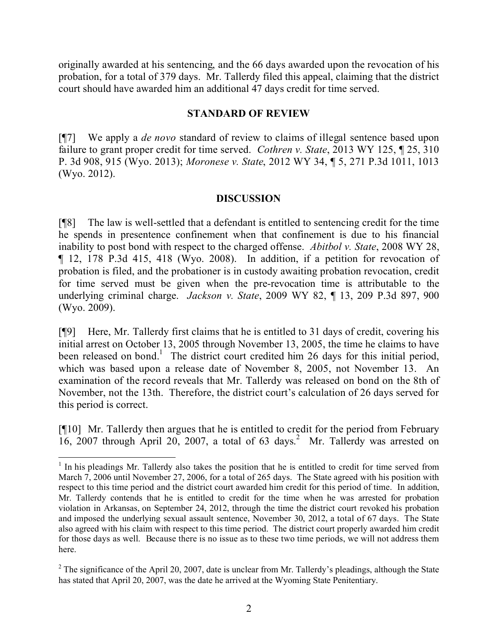originally awarded at his sentencing, and the 66 days awarded upon the revocation of his probation, for a total of 379 days. Mr. Tallerdy filed this appeal, claiming that the district court should have awarded him an additional 47 days credit for time served.

#### **STANDARD OF REVIEW**

[¶7] We apply a *de novo* standard of review to claims of illegal sentence based upon failure to grant proper credit for time served. *Cothren v. State*, 2013 WY 125, ¶ 25, 310 P. 3d 908, 915 (Wyo. 2013); *Moronese v. State*, 2012 WY 34, ¶ 5, 271 P.3d 1011, 1013 (Wyo. 2012).

# **DISCUSSION**

[¶8] The law is well-settled that a defendant is entitled to sentencing credit for the time he spends in presentence confinement when that confinement is due to his financial inability to post bond with respect to the charged offense. *Abitbol v. State*, 2008 WY 28, ¶ 12, 178 P.3d 415, 418 (Wyo. 2008). In addition, if a petition for revocation of probation is filed, and the probationer is in custody awaiting probation revocation, credit for time served must be given when the pre-revocation time is attributable to the underlying criminal charge. *Jackson v. State*, 2009 WY 82, ¶ 13, 209 P.3d 897, 900 (Wyo. 2009).

[¶9] Here, Mr. Tallerdy first claims that he is entitled to 31 days of credit, covering his initial arrest on October 13, 2005 through November 13, 2005, the time he claims to have been released on bond.<sup>1</sup> The district court credited him 26 days for this initial period, which was based upon a release date of November 8, 2005, not November 13. An examination of the record reveals that Mr. Tallerdy was released on bond on the 8th of November, not the 13th. Therefore, the district court's calculation of 26 days served for this period is correct.

[¶10] Mr. Tallerdy then argues that he is entitled to credit for the period from February 16, 2007 through April 20, 2007, a total of 63 days. <sup>2</sup> Mr. Tallerdy was arrested on

<sup>&</sup>lt;sup>1</sup> In his pleadings Mr. Tallerdy also takes the position that he is entitled to credit for time served from March 7, 2006 until November 27, 2006, for a total of 265 days. The State agreed with his position with respect to this time period and the district court awarded him credit for this period of time. In addition, Mr. Tallerdy contends that he is entitled to credit for the time when he was arrested for probation violation in Arkansas, on September 24, 2012, through the time the district court revoked his probation and imposed the underlying sexual assault sentence, November 30, 2012, a total of 67 days. The State also agreed with his claim with respect to this time period. The district court properly awarded him credit for those days as well. Because there is no issue as to these two time periods, we will not address them here.

 $2$  The significance of the April 20, 2007, date is unclear from Mr. Tallerdy's pleadings, although the State has stated that April 20, 2007, was the date he arrived at the Wyoming State Penitentiary.